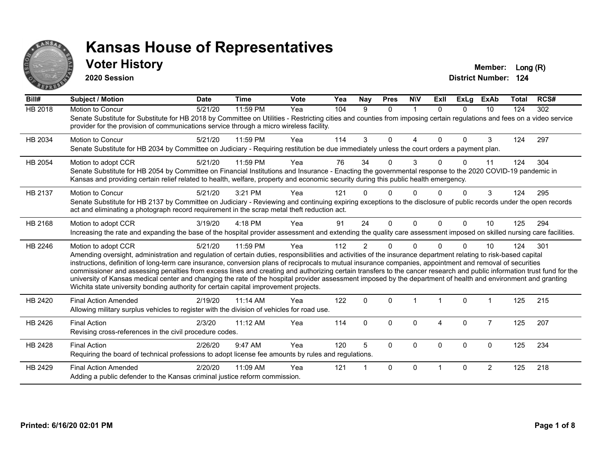

#### **Voter History Member:** Long (R)

**2020 Session**

| Bill#          | <b>Subject / Motion</b>                                                                                                                                                                                                                                                                                                                                                                                                                                                                                                                                                                                                                                                                                                                                                                  | <b>Date</b> | <b>Time</b> | Vote | Yea | <b>Nay</b>     | <b>Pres</b>  | <b>NIV</b>     | ExII         | <b>ExLg</b> | <b>ExAb</b>    | <b>Total</b> | RCS# |
|----------------|------------------------------------------------------------------------------------------------------------------------------------------------------------------------------------------------------------------------------------------------------------------------------------------------------------------------------------------------------------------------------------------------------------------------------------------------------------------------------------------------------------------------------------------------------------------------------------------------------------------------------------------------------------------------------------------------------------------------------------------------------------------------------------------|-------------|-------------|------|-----|----------------|--------------|----------------|--------------|-------------|----------------|--------------|------|
| <b>HB 2018</b> | Motion to Concur<br>Senate Substitute for Substitute for HB 2018 by Committee on Utilities - Restricting cities and counties from imposing certain regulations and fees on a video service<br>provider for the provision of communications service through a micro wireless facility.                                                                                                                                                                                                                                                                                                                                                                                                                                                                                                    | 5/21/20     | 11:59 PM    | Yea  | 104 | 9              | $\Omega$     | $\overline{1}$ | $\Omega$     | $\Omega$    | 10             | 124          | 302  |
| HB 2034        | <b>Motion to Concur</b><br>Senate Substitute for HB 2034 by Committee on Judiciary - Requiring restitution be due immediately unless the court orders a payment plan.                                                                                                                                                                                                                                                                                                                                                                                                                                                                                                                                                                                                                    | 5/21/20     | 11:59 PM    | Yea  | 114 | 3              | $\Omega$     | 4              | $\Omega$     | $\Omega$    | 3              | 124          | 297  |
| HB 2054        | Motion to adopt CCR<br>Senate Substitute for HB 2054 by Committee on Financial Institutions and Insurance - Enacting the governmental response to the 2020 COVID-19 pandemic in<br>Kansas and providing certain relief related to health, welfare, property and economic security during this public health emergency.                                                                                                                                                                                                                                                                                                                                                                                                                                                                   | 5/21/20     | 11:59 PM    | Yea  | 76  | 34             | $\Omega$     | 3              |              | $\Omega$    | 11             | 124          | 304  |
| HB 2137        | Motion to Concur<br>Senate Substitute for HB 2137 by Committee on Judiciary - Reviewing and continuing expiring exceptions to the disclosure of public records under the open records<br>act and eliminating a photograph record requirement in the scrap metal theft reduction act.                                                                                                                                                                                                                                                                                                                                                                                                                                                                                                     | 5/21/20     | 3:21 PM     | Yea  | 121 |                | U            | U              |              |             | 3              | 124          | 295  |
| HB 2168        | Motion to adopt CCR<br>Increasing the rate and expanding the base of the hospital provider assessment and extending the quality care assessment imposed on skilled nursing care facilities.                                                                                                                                                                                                                                                                                                                                                                                                                                                                                                                                                                                              | 3/19/20     | 4:18 PM     | Yea  | 91  | 24             | $\Omega$     | $\Omega$       | <sup>n</sup> | $\Omega$    | 10             | 125          | 294  |
| HB 2246        | Motion to adopt CCR<br>Amending oversight, administration and regulation of certain duties, responsibilities and activities of the insurance department relating to risk-based capital<br>instructions, definition of long-term care insurance, conversion plans of reciprocals to mutual insurance companies, appointment and removal of securities<br>commissioner and assessing penalties from excess lines and creating and authorizing certain transfers to the cancer research and public information trust fund for the<br>university of Kansas medical center and changing the rate of the hospital provider assessment imposed by the department of health and environment and granting<br>Wichita state university bonding authority for certain capital improvement projects. | 5/21/20     | 11:59 PM    | Yea  | 112 | $\overline{2}$ | $\Omega$     | $\mathbf{0}$   |              | $\Omega$    | 10             | 124          | 301  |
| HB 2420        | <b>Final Action Amended</b><br>Allowing military surplus vehicles to register with the division of vehicles for road use.                                                                                                                                                                                                                                                                                                                                                                                                                                                                                                                                                                                                                                                                | 2/19/20     | 11:14 AM    | Yea  | 122 | 0              | $\mathbf{0}$ |                |              | 0           |                | 125          | 215  |
| HB 2426        | <b>Final Action</b><br>Revising cross-references in the civil procedure codes.                                                                                                                                                                                                                                                                                                                                                                                                                                                                                                                                                                                                                                                                                                           | 2/3/20      | 11:12 AM    | Yea  | 114 | $\Omega$       | $\mathbf{0}$ | $\mathbf{0}$   | 4            | $\Omega$    | $\overline{7}$ | 125          | 207  |
| HB 2428        | <b>Final Action</b><br>Requiring the board of technical professions to adopt license fee amounts by rules and regulations.                                                                                                                                                                                                                                                                                                                                                                                                                                                                                                                                                                                                                                                               | 2/26/20     | 9:47 AM     | Yea  | 120 | 5              | $\Omega$     | $\Omega$       | $\Omega$     | $\mathbf 0$ | $\mathbf 0$    | 125          | 234  |
| HB 2429        | <b>Final Action Amended</b><br>Adding a public defender to the Kansas criminal justice reform commission.                                                                                                                                                                                                                                                                                                                                                                                                                                                                                                                                                                                                                                                                                | 2/20/20     | 11:09 AM    | Yea  | 121 |                | $\Omega$     | $\Omega$       |              | $\Omega$    | $\overline{2}$ | 125          | 218  |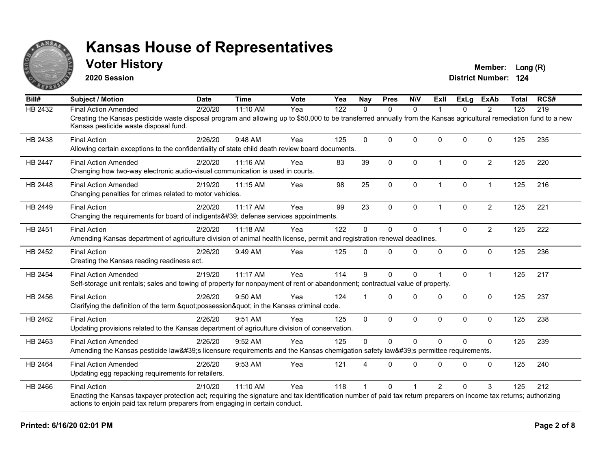

#### **Voter History Member:** Long (R)

**2020 Session**

| Bill#          | <b>Subject / Motion</b>                                                                                                                                                                                                                                                    | <b>Date</b> | <b>Time</b> | Vote | Yea | Nay          | <b>Pres</b>  | <b>NIV</b>   | <b>Exll</b>    | <b>ExLg</b> | <b>ExAb</b>    | <b>Total</b> | RCS# |
|----------------|----------------------------------------------------------------------------------------------------------------------------------------------------------------------------------------------------------------------------------------------------------------------------|-------------|-------------|------|-----|--------------|--------------|--------------|----------------|-------------|----------------|--------------|------|
| <b>HB 2432</b> | <b>Final Action Amended</b>                                                                                                                                                                                                                                                | 2/20/20     | 11:10 AM    | Yea  | 122 | $\Omega$     | $\Omega$     | $\mathbf{0}$ |                | 0           | 2              | 125          | 219  |
|                | Creating the Kansas pesticide waste disposal program and allowing up to \$50,000 to be transferred annually from the Kansas agricultural remediation fund to a new<br>Kansas pesticide waste disposal fund.                                                                |             |             |      |     |              |              |              |                |             |                |              |      |
| HB 2438        | <b>Final Action</b><br>Allowing certain exceptions to the confidentiality of state child death review board documents.                                                                                                                                                     | 2/26/20     | 9:48 AM     | Yea  | 125 | $\Omega$     | $\Omega$     | $\Omega$     | $\Omega$       | $\Omega$    | $\Omega$       | 125          | 235  |
| HB 2447        | <b>Final Action Amended</b><br>Changing how two-way electronic audio-visual communication is used in courts.                                                                                                                                                               | 2/20/20     | 11:16 AM    | Yea  | 83  | 39           | $\mathbf 0$  | 0            | $\overline{1}$ | 0           | $\overline{2}$ | 125          | 220  |
| HB 2448        | <b>Final Action Amended</b><br>Changing penalties for crimes related to motor vehicles.                                                                                                                                                                                    | 2/19/20     | 11:15 AM    | Yea  | 98  | 25           | $\mathbf 0$  | 0            | 1              | 0           | $\mathbf{1}$   | 125          | 216  |
| HB 2449        | <b>Final Action</b><br>Changing the requirements for board of indigents' defense services appointments.                                                                                                                                                                    | 2/20/20     | 11:17 AM    | Yea  | 99  | 23           | $\mathbf{0}$ | $\mathbf{0}$ | 1              | $\Omega$    | $\overline{2}$ | 125          | 221  |
| HB 2451        | <b>Final Action</b><br>Amending Kansas department of agriculture division of animal health license, permit and registration renewal deadlines.                                                                                                                             | 2/20/20     | 11:18 AM    | Yea  | 122 | $\Omega$     | $\mathbf 0$  | 0            | 1              | $\Omega$    | $\overline{2}$ | 125          | 222  |
| HB 2452        | <b>Final Action</b><br>Creating the Kansas reading readiness act.                                                                                                                                                                                                          | 2/26/20     | 9:49 AM     | Yea  | 125 | $\Omega$     | $\mathbf{0}$ | 0            | $\Omega$       | $\Omega$    | $\Omega$       | 125          | 236  |
| HB 2454        | <b>Final Action Amended</b><br>Self-storage unit rentals; sales and towing of property for nonpayment of rent or abandonment; contractual value of property.                                                                                                               | 2/19/20     | 11:17 AM    | Yea  | 114 | 9            | $\mathbf{0}$ | $\Omega$     |                | $\Omega$    | $\mathbf 1$    | 125          | 217  |
| HB 2456        | <b>Final Action</b><br>Clarifying the definition of the term "possession" in the Kansas criminal code.                                                                                                                                                                     | 2/26/20     | 9:50 AM     | Yea  | 124 |              | $\Omega$     | $\Omega$     | $\Omega$       | $\Omega$    | $\mathbf 0$    | 125          | 237  |
| HB 2462        | <b>Final Action</b><br>Updating provisions related to the Kansas department of agriculture division of conservation.                                                                                                                                                       | 2/26/20     | 9:51 AM     | Yea  | 125 | $\mathbf{0}$ | 0            | 0            | $\Omega$       | 0           | $\mathbf 0$    | 125          | 238  |
| HB 2463        | <b>Final Action Amended</b><br>Amending the Kansas pesticide law's licensure requirements and the Kansas chemigation safety law's permittee requirements.                                                                                                                  | 2/26/20     | 9:52 AM     | Yea  | 125 | $\Omega$     | $\Omega$     | $\Omega$     | $\Omega$       | $\Omega$    | $\Omega$       | 125          | 239  |
| HB 2464        | <b>Final Action Amended</b><br>Updating egg repacking requirements for retailers.                                                                                                                                                                                          | 2/26/20     | 9:53 AM     | Yea  | 121 |              | $\Omega$     | $\Omega$     | $\Omega$       | 0           | $\Omega$       | 125          | 240  |
| HB 2466        | <b>Final Action</b><br>Enacting the Kansas taxpayer protection act; requiring the signature and tax identification number of paid tax return preparers on income tax returns; authorizing<br>actions to enjoin paid tax return preparers from engaging in certain conduct. | 2/10/20     | 11:10 AM    | Yea  | 118 |              | $\Omega$     |              | $\overline{2}$ | $\Omega$    | 3              | 125          | 212  |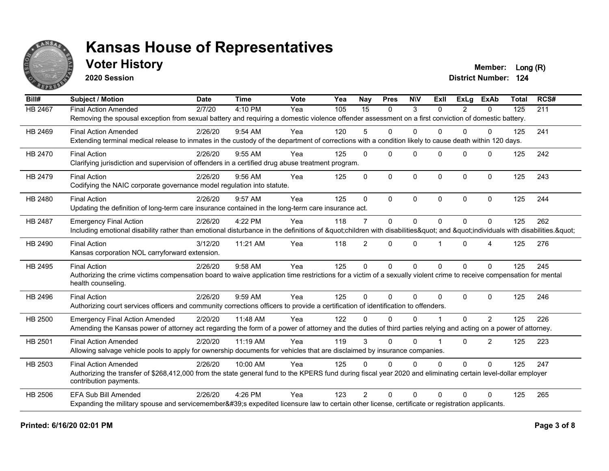

#### **Voter History Member:** Long (R)

**2020 Session**

| Bill#          | <b>Subject / Motion</b>                                                                                                                                             | <b>Date</b> | <b>Time</b> | <b>Vote</b> | Yea | Nay            | <b>Pres</b> | <b>NIV</b>   | ExIl     | <b>ExLg</b>   | <b>ExAb</b>  | <b>Total</b> | RCS# |
|----------------|---------------------------------------------------------------------------------------------------------------------------------------------------------------------|-------------|-------------|-------------|-----|----------------|-------------|--------------|----------|---------------|--------------|--------------|------|
| <b>HB 2467</b> | <b>Final Action Amended</b>                                                                                                                                         | 2/7/20      | 4:10 PM     | Yea         | 105 | 15             | $\Omega$    | 3            | $\Omega$ | $\mathcal{P}$ | $\Omega$     | 125          | 211  |
|                | Removing the spousal exception from sexual battery and requiring a domestic violence offender assessment on a first conviction of domestic battery.                 |             |             |             |     |                |             |              |          |               |              |              |      |
| HB 2469        | <b>Final Action Amended</b>                                                                                                                                         | 2/26/20     | 9:54 AM     | Yea         | 120 | 5              | $\Omega$    | $\Omega$     | $\Omega$ | $\Omega$      | $\Omega$     | 125          | 241  |
|                | Extending terminal medical release to inmates in the custody of the department of corrections with a condition likely to cause death within 120 days.               |             |             |             |     |                |             |              |          |               |              |              |      |
| HB 2470        | <b>Final Action</b>                                                                                                                                                 | 2/26/20     | $9:55$ AM   | Yea         | 125 | $\Omega$       | $\Omega$    | $\Omega$     | $\Omega$ | $\Omega$      | $\Omega$     | 125          | 242  |
|                | Clarifying jurisdiction and supervision of offenders in a certified drug abuse treatment program.                                                                   |             |             |             |     |                |             |              |          |               |              |              |      |
| HB 2479        | <b>Final Action</b>                                                                                                                                                 | 2/26/20     | 9:56 AM     | Yea         | 125 | 0              | $\Omega$    | $\mathbf 0$  | $\Omega$ | $\Omega$      | $\Omega$     | 125          | 243  |
|                | Codifying the NAIC corporate governance model regulation into statute.                                                                                              |             |             |             |     |                |             |              |          |               |              |              |      |
| HB 2480        | <b>Final Action</b>                                                                                                                                                 | 2/26/20     | 9:57 AM     | Yea         | 125 | $\mathbf{0}$   | $\Omega$    | $\Omega$     | 0        | $\Omega$      | $\mathbf{0}$ | 125          | 244  |
|                | Updating the definition of long-term care insurance contained in the long-term care insurance act.                                                                  |             |             |             |     |                |             |              |          |               |              |              |      |
| HB 2487        | <b>Emergency Final Action</b>                                                                                                                                       | 2/26/20     | 4:22 PM     | Yea         | 118 | 7              | $\Omega$    | $\Omega$     | 0        | $\Omega$      | $\Omega$     | 125          | 262  |
|                | Including emotional disability rather than emotional disturbance in the definitions of "children with disabilities" and "individuals with disabilities. "           |             |             |             |     |                |             |              |          |               |              |              |      |
| HB 2490        | <b>Final Action</b>                                                                                                                                                 | 3/12/20     | 11:21 AM    | Yea         | 118 | $\overline{2}$ | $\Omega$    | $\Omega$     | 1        | $\Omega$      | 4            | 125          | 276  |
|                | Kansas corporation NOL carryforward extension.                                                                                                                      |             |             |             |     |                |             |              |          |               |              |              |      |
| HB 2495        | <b>Final Action</b>                                                                                                                                                 | 2/26/20     | 9:58 AM     | Yea         | 125 | $\Omega$       | $\Omega$    | $\mathbf{0}$ | $\Omega$ | $\Omega$      | $\Omega$     | 125          | 245  |
|                | Authorizing the crime victims compensation board to waive application time restrictions for a victim of a sexually violent crime to receive compensation for mental |             |             |             |     |                |             |              |          |               |              |              |      |
|                | health counseling.                                                                                                                                                  |             |             |             |     |                |             |              |          |               |              |              |      |
| HB 2496        | <b>Final Action</b>                                                                                                                                                 | 2/26/20     | 9:59 AM     | Yea         | 125 | $\Omega$       | $\Omega$    | $\Omega$     | $\Omega$ | $\Omega$      | $\Omega$     | 125          | 246  |
|                | Authorizing court services officers and community corrections officers to provide a certification of identification to offenders.                                   |             |             |             |     |                |             |              |          |               |              |              |      |
| HB 2500        | <b>Emergency Final Action Amended</b>                                                                                                                               | 2/20/20     | 11:48 AM    | Yea         | 122 | $\Omega$       | $\Omega$    | $\Omega$     |          | $\Omega$      | 2            | 125          | 226  |
|                | Amending the Kansas power of attorney act regarding the form of a power of attorney and the duties of third parties relying and acting on a power of attorney.      |             |             |             |     |                |             |              |          |               |              |              |      |
| HB 2501        | <b>Final Action Amended</b>                                                                                                                                         | 2/20/20     | 11:19 AM    | Yea         | 119 | 3              | $\Omega$    | $\Omega$     |          | $\Omega$      | 2            | 125          | 223  |
|                | Allowing salvage vehicle pools to apply for ownership documents for vehicles that are disclaimed by insurance companies.                                            |             |             |             |     |                |             |              |          |               |              |              |      |
| HB 2503        | <b>Final Action Amended</b>                                                                                                                                         | 2/26/20     | 10:00 AM    | Yea         | 125 | 0              | $\Omega$    | $\mathbf{0}$ | 0        | $\Omega$      | $\mathbf{0}$ | 125          | 247  |
|                | Authorizing the transfer of \$268,412,000 from the state general fund to the KPERS fund during fiscal year 2020 and eliminating certain level-dollar employer       |             |             |             |     |                |             |              |          |               |              |              |      |
|                | contribution payments.                                                                                                                                              |             |             |             |     |                |             |              |          |               |              |              |      |
| HB 2506        | <b>EFA Sub Bill Amended</b>                                                                                                                                         | 2/26/20     | 4:26 PM     | Yea         | 123 | $\overline{2}$ | $\Omega$    | $\Omega$     | $\Omega$ | $\Omega$      | $\Omega$     | 125          | 265  |
|                | Expanding the military spouse and servicemember's expedited licensure law to certain other license, certificate or registration applicants.                         |             |             |             |     |                |             |              |          |               |              |              |      |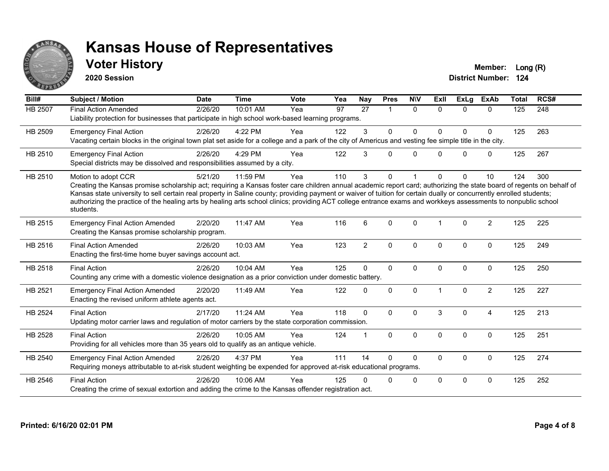

### **Voter History Member:** Long (R)

**2020 Session**

| Bill#   | <b>Subject / Motion</b>                                                                                                                                                                                                                                                                                                                                                                                                                                                                                                                             | <b>Date</b> | <b>Time</b> | <b>Vote</b> | Yea | <b>Nay</b>     | <b>Pres</b>  | <b>NIV</b>   | ExII     | <b>ExLg</b> | <b>ExAb</b>    | <b>Total</b> | RCS# |
|---------|-----------------------------------------------------------------------------------------------------------------------------------------------------------------------------------------------------------------------------------------------------------------------------------------------------------------------------------------------------------------------------------------------------------------------------------------------------------------------------------------------------------------------------------------------------|-------------|-------------|-------------|-----|----------------|--------------|--------------|----------|-------------|----------------|--------------|------|
| HB 2507 | <b>Final Action Amended</b><br>Liability protection for businesses that participate in high school work-based learning programs.                                                                                                                                                                                                                                                                                                                                                                                                                    | 2/26/20     | 10:01 AM    | Yea         | 97  | 27             | 1            | $\Omega$     | $\Omega$ | $\Omega$    | $\mathbf{0}$   | 125          | 248  |
| HB 2509 | <b>Emergency Final Action</b><br>Vacating certain blocks in the original town plat set aside for a college and a park of the city of Americus and vesting fee simple title in the city.                                                                                                                                                                                                                                                                                                                                                             | 2/26/20     | 4:22 PM     | Yea         | 122 | 3              | $\Omega$     | $\mathbf{0}$ | $\Omega$ | $\Omega$    | $\mathbf{0}$   | 125          | 263  |
| HB 2510 | <b>Emergency Final Action</b><br>Special districts may be dissolved and responsibilities assumed by a city.                                                                                                                                                                                                                                                                                                                                                                                                                                         | 2/26/20     | 4:29 PM     | Yea         | 122 | 3              | $\Omega$     | $\Omega$     | $\Omega$ | $\Omega$    | $\mathbf 0$    | 125          | 267  |
| HB 2510 | Motion to adopt CCR<br>Creating the Kansas promise scholarship act; requiring a Kansas foster care children annual academic report card; authorizing the state board of regents on behalf of<br>Kansas state university to sell certain real property in Saline county; providing payment or waiver of tuition for certain dually or concurrently enrolled students;<br>authorizing the practice of the healing arts by healing arts school clinics; providing ACT college entrance exams and workkeys assessments to nonpublic school<br>students. | 5/21/20     | 11:59 PM    | Yea         | 110 | 3              | $\Omega$     | 1            | $\Omega$ | $\Omega$    | 10             | 124          | 300  |
| HB 2515 | <b>Emergency Final Action Amended</b><br>Creating the Kansas promise scholarship program.                                                                                                                                                                                                                                                                                                                                                                                                                                                           | 2/20/20     | 11:47 AM    | Yea         | 116 | 6              | $\Omega$     | $\Omega$     | 1        | $\Omega$    | 2              | 125          | 225  |
| HB 2516 | <b>Final Action Amended</b><br>Enacting the first-time home buyer savings account act.                                                                                                                                                                                                                                                                                                                                                                                                                                                              | 2/26/20     | 10:03 AM    | Yea         | 123 | $\overline{2}$ | $\mathbf{0}$ | $\mathbf{0}$ | $\Omega$ | $\Omega$    | $\mathbf{0}$   | 125          | 249  |
| HB 2518 | <b>Final Action</b><br>Counting any crime with a domestic violence designation as a prior conviction under domestic battery.                                                                                                                                                                                                                                                                                                                                                                                                                        | 2/26/20     | 10:04 AM    | Yea         | 125 | $\Omega$       | $\mathbf{0}$ | $\Omega$     | $\Omega$ | $\Omega$    | $\mathbf{0}$   | 125          | 250  |
| HB 2521 | <b>Emergency Final Action Amended</b><br>Enacting the revised uniform athlete agents act.                                                                                                                                                                                                                                                                                                                                                                                                                                                           | 2/20/20     | 11:49 AM    | Yea         | 122 | 0              | $\mathbf{0}$ | $\mathbf{0}$ |          | $\Omega$    | 2              | 125          | 227  |
| HB 2524 | <b>Final Action</b><br>Updating motor carrier laws and regulation of motor carriers by the state corporation commission.                                                                                                                                                                                                                                                                                                                                                                                                                            | 2/17/20     | 11:24 AM    | Yea         | 118 | $\Omega$       | $\Omega$     | $\mathbf{0}$ | 3        | $\Omega$    | $\overline{4}$ | 125          | 213  |
| HB 2528 | <b>Final Action</b><br>Providing for all vehicles more than 35 years old to qualify as an antique vehicle.                                                                                                                                                                                                                                                                                                                                                                                                                                          | 2/26/20     | 10:05 AM    | Yea         | 124 |                | $\mathbf{0}$ | $\mathbf{0}$ | $\Omega$ | $\Omega$    | $\mathbf{0}$   | 125          | 251  |
| HB 2540 | <b>Emergency Final Action Amended</b><br>Requiring moneys attributable to at-risk student weighting be expended for approved at-risk educational programs.                                                                                                                                                                                                                                                                                                                                                                                          | 2/26/20     | 4:37 PM     | Yea         | 111 | 14             | $\Omega$     | $\Omega$     | $\Omega$ | $\Omega$    | $\mathbf 0$    | 125          | 274  |
| HB 2546 | <b>Final Action</b><br>Creating the crime of sexual extortion and adding the crime to the Kansas offender registration act.                                                                                                                                                                                                                                                                                                                                                                                                                         | 2/26/20     | 10:06 AM    | Yea         | 125 | U              | $\Omega$     | $\Omega$     | $\Omega$ | $\Omega$    | 0              | 125          | 252  |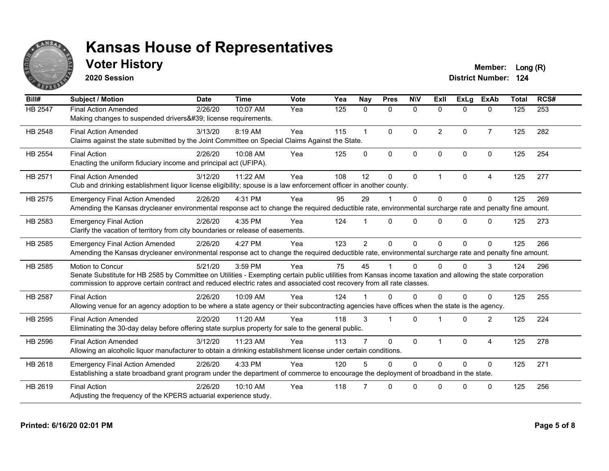

## **Voter History Member:** Long (R)

**2020 Session**

| Bill#   | <b>Subject / Motion</b>                                                                                                                                                                                                                                                                                         | <b>Date</b> | <b>Time</b> | Vote | Yea | Nay            | <b>Pres</b>             | <b>NIV</b>   | ExII                 | ExLa         | <b>ExAb</b>    | <b>Total</b> | RCS# |
|---------|-----------------------------------------------------------------------------------------------------------------------------------------------------------------------------------------------------------------------------------------------------------------------------------------------------------------|-------------|-------------|------|-----|----------------|-------------------------|--------------|----------------------|--------------|----------------|--------------|------|
| HB 2547 | <b>Final Action Amended</b><br>Making changes to suspended drivers' license requirements.                                                                                                                                                                                                                       | 2/26/20     | 10:07 AM    | Yea  | 125 | 0              | $\mathbf{0}$            | $\mathbf 0$  | $\Omega$             | $\mathbf{0}$ | $\mathbf{0}$   | 125          | 253  |
| HB 2548 | <b>Final Action Amended</b><br>Claims against the state submitted by the Joint Committee on Special Claims Against the State.                                                                                                                                                                                   | 3/13/20     | 8:19 AM     | Yea  | 115 |                | $\Omega$                | $\Omega$     | $\overline{2}$       | $\Omega$     | $\overline{7}$ | 125          | 282  |
| HB 2554 | <b>Final Action</b><br>Enacting the uniform fiduciary income and principal act (UFIPA).                                                                                                                                                                                                                         | 2/26/20     | 10:08 AM    | Yea  | 125 | $\Omega$       | $\mathbf{0}$            | $\Omega$     | $\Omega$             | $\Omega$     | $\Omega$       | 125          | 254  |
| HB 2571 | <b>Final Action Amended</b><br>Club and drinking establishment liquor license eligibility; spouse is a law enforcement officer in another county.                                                                                                                                                               | 3/12/20     | 11:22 AM    | Yea  | 108 | 12             | 0                       | 0            | $\blacktriangleleft$ | $\Omega$     | 4              | 125          | 277  |
| HB 2575 | <b>Emergency Final Action Amended</b><br>Amending the Kansas drycleaner environmental response act to change the required deductible rate, environmental surcharge rate and penalty fine amount.                                                                                                                | 2/26/20     | 4:31 PM     | Yea  | 95  | 29             |                         | $\mathbf 0$  | $\Omega$             | $\Omega$     | $\Omega$       | 125          | 269  |
| HB 2583 | <b>Emergency Final Action</b><br>Clarify the vacation of territory from city boundaries or release of easements.                                                                                                                                                                                                | 2/26/20     | 4:35 PM     | Yea  | 124 |                | $\Omega$                | $\Omega$     | <sup>n</sup>         | $\Omega$     | $\Omega$       | 125          | 273  |
| HB 2585 | <b>Emergency Final Action Amended</b><br>Amending the Kansas drycleaner environmental response act to change the required deductible rate, environmental surcharge rate and penalty fine amount.                                                                                                                | 2/26/20     | 4:27 PM     | Yea  | 123 | $\overline{2}$ | $\Omega$                | $\mathbf{0}$ | $\Omega$             | $\Omega$     | $\Omega$       | 125          | 266  |
| HB 2585 | <b>Motion to Concur</b><br>Senate Substitute for HB 2585 by Committee on Utilities - Exempting certain public utilities from Kansas income taxation and allowing the state corporation<br>commission to approve certain contract and reduced electric rates and associated cost recovery from all rate classes. | 5/21/20     | 3:59 PM     | Yea  | 75  | 45             |                         | $\Omega$     |                      | 0            | 3              | 124          | 296  |
| HB 2587 | <b>Final Action</b><br>Allowing venue for an agency adoption to be where a state agency or their subcontracting agencies have offices when the state is the agency.                                                                                                                                             | 2/26/20     | 10:09 AM    | Yea  | 124 |                | U                       | $\Omega$     | <sup>n</sup>         | $\Omega$     | $\Omega$       | 125          | 255  |
| HB 2595 | <b>Final Action Amended</b><br>Eliminating the 30-day delay before offering state surplus property for sale to the general public.                                                                                                                                                                              | 2/20/20     | 11:20 AM    | Yea  | 118 | 3              | $\overline{\mathbf{1}}$ | $\Omega$     |                      | $\Omega$     | 2              | 125          | 224  |
| HB 2596 | <b>Final Action Amended</b><br>Allowing an alcoholic liquor manufacturer to obtain a drinking establishment license under certain conditions.                                                                                                                                                                   | 3/12/20     | 11:23 AM    | Yea  | 113 |                | $\Omega$                | $\Omega$     |                      | $\Omega$     | $\overline{4}$ | 125          | 278  |
| HB 2618 | <b>Emergency Final Action Amended</b><br>Establishing a state broadband grant program under the department of commerce to encourage the deployment of broadband in the state.                                                                                                                                   | 2/26/20     | 4:33 PM     | Yea  | 120 | 5              | $\Omega$                | $\mathbf{0}$ | $\Omega$             | $\Omega$     | $\mathbf{0}$   | 125          | 271  |
| HB 2619 | <b>Final Action</b><br>Adjusting the frequency of the KPERS actuarial experience study.                                                                                                                                                                                                                         | 2/26/20     | $10:10$ AM  | Yea  | 118 |                | 0                       | $\Omega$     | U                    | $\Omega$     | $\mathbf{0}$   | 125          | 256  |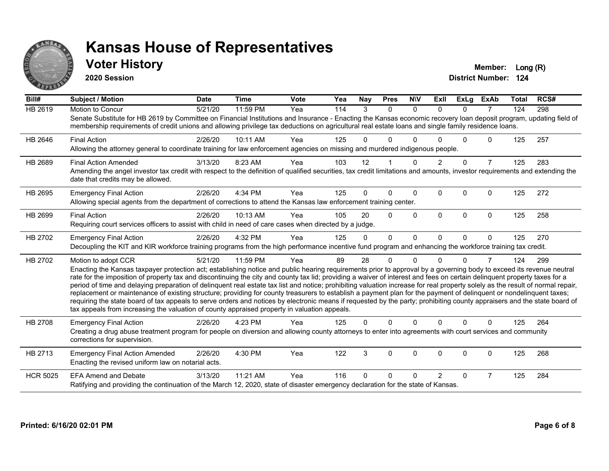

#### **Voter History Member:** Long (R)

**2020 Session**

| $\overline{Bill#}$ | <b>Subject / Motion</b>                                                                                                                                                                                                                                                                                                                                     | <b>Date</b> | <b>Time</b> | <b>Vote</b> | Yea | <b>Nay</b>     | <b>Pres</b>  | <b>NIV</b>   | <b>ExII</b>    | <b>ExLg</b>  | <b>ExAb</b>    | <b>Total</b> | RCS# |
|--------------------|-------------------------------------------------------------------------------------------------------------------------------------------------------------------------------------------------------------------------------------------------------------------------------------------------------------------------------------------------------------|-------------|-------------|-------------|-----|----------------|--------------|--------------|----------------|--------------|----------------|--------------|------|
| HB 2619            | Motion to Concur                                                                                                                                                                                                                                                                                                                                            | 5/21/20     | 11:59 PM    | Yea         | 114 | $\overline{3}$ | $\mathbf{0}$ | $\mathbf{0}$ | $\Omega$       | $\Omega$     | 7              | 124          | 298  |
|                    | Senate Substitute for HB 2619 by Committee on Financial Institutions and Insurance - Enacting the Kansas economic recovery loan deposit program, updating field of<br>membership requirements of credit unions and allowing privilege tax deductions on agricultural real estate loans and single family residence loans.                                   |             |             |             |     |                |              |              |                |              |                |              |      |
| HB 2646            | <b>Final Action</b>                                                                                                                                                                                                                                                                                                                                         | 2/26/20     | 10:11 AM    | Yea         | 125 | 0              | 0            | $\Omega$     |                | $\Omega$     | $\Omega$       | 125          | 257  |
|                    | Allowing the attorney general to coordinate training for law enforcement agencies on missing and murdered indigenous people.                                                                                                                                                                                                                                |             |             |             |     |                |              |              |                |              |                |              |      |
| HB 2689            | <b>Final Action Amended</b>                                                                                                                                                                                                                                                                                                                                 | 3/13/20     | 8:23 AM     | Yea         | 103 | 12             |              | $\Omega$     | $\overline{2}$ | $\Omega$     | $\overline{7}$ | 125          | 283  |
|                    | Amending the angel investor tax credit with respect to the definition of qualified securities, tax credit limitations and amounts, investor requirements and extending the<br>date that credits may be allowed.                                                                                                                                             |             |             |             |     |                |              |              |                |              |                |              |      |
| HB 2695            | <b>Emergency Final Action</b>                                                                                                                                                                                                                                                                                                                               | 2/26/20     | 4:34 PM     | Yea         | 125 | $\Omega$       | $\Omega$     | $\Omega$     | $\Omega$       | $\Omega$     | $\Omega$       | 125          | 272  |
|                    | Allowing special agents from the department of corrections to attend the Kansas law enforcement training center.                                                                                                                                                                                                                                            |             |             |             |     |                |              |              |                |              |                |              |      |
| HB 2699            | <b>Final Action</b>                                                                                                                                                                                                                                                                                                                                         | 2/26/20     | 10:13 AM    | Yea         | 105 | 20             | $\Omega$     | $\Omega$     | $\Omega$       | $\mathbf{0}$ | $\mathbf{0}$   | 125          | 258  |
|                    | Requiring court services officers to assist with child in need of care cases when directed by a judge.                                                                                                                                                                                                                                                      |             |             |             |     |                |              |              |                |              |                |              |      |
| HB 2702            | <b>Emergency Final Action</b>                                                                                                                                                                                                                                                                                                                               | 2/26/20     | 4:32 PM     | Yea         | 125 | 0              | $\Omega$     | $\Omega$     | $\Omega$       | $\Omega$     | $\Omega$       | 125          | 270  |
|                    | Decoupling the KIT and KIR workforce training programs from the high performance incentive fund program and enhancing the workforce training tax credit.                                                                                                                                                                                                    |             |             |             |     |                |              |              |                |              |                |              |      |
| HB 2702            | Motion to adopt CCR                                                                                                                                                                                                                                                                                                                                         | 5/21/20     | 11:59 PM    | Yea         | 89  | 28             | $\Omega$     | O            |                | U            | 7              | 124          | 299  |
|                    | Enacting the Kansas taxpayer protection act; establishing notice and public hearing requirements prior to approval by a governing body to exceed its revenue neutral                                                                                                                                                                                        |             |             |             |     |                |              |              |                |              |                |              |      |
|                    | rate for the imposition of property tax and discontinuing the city and county tax lid; providing a waiver of interest and fees on certain delinquent property taxes for a<br>period of time and delaying preparation of delinquent real estate tax list and notice; prohibiting valuation increase for real property solely as the result of normal repair, |             |             |             |     |                |              |              |                |              |                |              |      |
|                    | replacement or maintenance of existing structure; providing for county treasurers to establish a payment plan for the payment of delinquent or nondelinquent taxes;                                                                                                                                                                                         |             |             |             |     |                |              |              |                |              |                |              |      |
|                    | requiring the state board of tax appeals to serve orders and notices by electronic means if requested by the party; prohibiting county appraisers and the state board of                                                                                                                                                                                    |             |             |             |     |                |              |              |                |              |                |              |      |
|                    | tax appeals from increasing the valuation of county appraised property in valuation appeals.                                                                                                                                                                                                                                                                |             |             |             |     |                |              |              |                |              |                |              |      |
| HB 2708            | <b>Emergency Final Action</b>                                                                                                                                                                                                                                                                                                                               | 2/26/20     | 4:23 PM     | Yea         | 125 | $\mathbf{0}$   | $\Omega$     | $\Omega$     | $\Omega$       | $\Omega$     | $\Omega$       | 125          | 264  |
|                    | Creating a drug abuse treatment program for people on diversion and allowing county attorneys to enter into agreements with court services and community<br>corrections for supervision.                                                                                                                                                                    |             |             |             |     |                |              |              |                |              |                |              |      |
| HB 2713            | <b>Emergency Final Action Amended</b>                                                                                                                                                                                                                                                                                                                       | 2/26/20     | 4:30 PM     | Yea         | 122 | 3              | $\Omega$     | $\Omega$     | $\Omega$       | $\Omega$     | 0              | 125          | 268  |
|                    | Enacting the revised uniform law on notarial acts.                                                                                                                                                                                                                                                                                                          |             |             |             |     |                |              |              |                |              |                |              |      |
| <b>HCR 5025</b>    | <b>EFA Amend and Debate</b>                                                                                                                                                                                                                                                                                                                                 | 3/13/20     | 11:21 AM    | Yea         | 116 | $\Omega$       | $\Omega$     | $\Omega$     | $\mathcal{P}$  | $\Omega$     | $\overline{7}$ | 125          | 284  |
|                    | Ratifying and providing the continuation of the March 12, 2020, state of disaster emergency declaration for the state of Kansas.                                                                                                                                                                                                                            |             |             |             |     |                |              |              |                |              |                |              |      |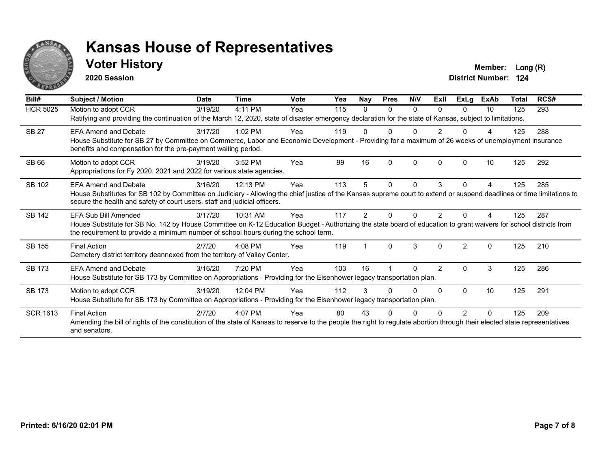

#### **Voter History Member:** Long (R)

**2020 Session**

| Bill#           | <b>Subject / Motion</b>                                                                                                                                                                                                                                                           | <b>Date</b> | <b>Time</b> | Vote | Yea | Nay          | <b>Pres</b>  | <b>NIV</b> | ExII           | ExLg           | ExAb     | <b>Total</b> | RCS# |
|-----------------|-----------------------------------------------------------------------------------------------------------------------------------------------------------------------------------------------------------------------------------------------------------------------------------|-------------|-------------|------|-----|--------------|--------------|------------|----------------|----------------|----------|--------------|------|
| <b>HCR 5025</b> | Motion to adopt CCR<br>Ratifying and providing the continuation of the March 12, 2020, state of disaster emergency declaration for the state of Kansas, subject to limitations.                                                                                                   | 3/19/20     | 4:11 PM     | Yea  | 115 | $\mathbf{0}$ | $\Omega$     | $\Omega$   | <sup>n</sup>   | $\Omega$       | 10       | 125          | 293  |
| <b>SB 27</b>    | <b>EFA Amend and Debate</b><br>House Substitute for SB 27 by Committee on Commerce, Labor and Economic Development - Providing for a maximum of 26 weeks of unemployment insurance<br>benefits and compensation for the pre-payment waiting period.                               | 3/17/20     | $1:02$ PM   | Yea  | 119 |              |              |            |                |                |          | 125          | 288  |
| SB 66           | Motion to adopt CCR<br>Appropriations for Fy 2020, 2021 and 2022 for various state agencies.                                                                                                                                                                                      | 3/19/20     | 3:52 PM     | Yea  | 99  | 16           | $\Omega$     | $\Omega$   | <sup>0</sup>   | $\Omega$       | 10       | 125          | 292  |
| SB 102          | <b>EFA Amend and Debate</b><br>House Substitutes for SB 102 by Committee on Judiciary - Allowing the chief justice of the Kansas supreme court to extend or suspend deadlines or time limitations to<br>secure the health and safety of court users, staff and judicial officers. | 3/16/20     | 12:13 PM    | Yea  | 113 | 5            | $\mathbf{0}$ | $\Omega$   | 3              | 0              | 4        | 125          | 285  |
| SB 142          | EFA Sub Bill Amended<br>House Substitute for SB No. 142 by House Committee on K-12 Education Budget - Authorizing the state board of education to grant waivers for school districts from<br>the requirement to provide a minimum number of school hours during the school term.  | 3/17/20     | 10:31 AM    | Yea  | 117 | 2            | <sup>0</sup> | U          |                |                |          | 125          | 287  |
| SB 155          | <b>Final Action</b><br>Cemetery district territory deannexed from the territory of Valley Center.                                                                                                                                                                                 | 2/7/20      | 4:08 PM     | Yea  | 119 |              | $\Omega$     | 3          | $\Omega$       | $\mathfrak{p}$ | $\Omega$ | 125          | 210  |
| SB 173          | <b>EFA Amend and Debate</b><br>House Substitute for SB 173 by Committee on Appropriations - Providing for the Eisenhower legacy transportation plan.                                                                                                                              | 3/16/20     | 7:20 PM     | Yea  | 103 | 16           |              | U          | $\mathfrak{p}$ | $\Omega$       | 3        | 125          | 286  |
| SB 173          | Motion to adopt CCR<br>House Substitute for SB 173 by Committee on Appropriations - Providing for the Eisenhower legacy transportation plan.                                                                                                                                      | 3/19/20     | 12:04 PM    | Yea  | 112 | 3            | 0            | $\Omega$   | U              | $\Omega$       | 10       | 125          | 291  |
| <b>SCR 1613</b> | <b>Final Action</b><br>Amending the bill of rights of the constitution of the state of Kansas to reserve to the people the right to regulate abortion through their elected state representatives<br>and senators.                                                                | 2/7/20      | $4:07$ PM   | Yea  | 80  | 43           | n            |            |                | 2              | 0        | 125          | 209  |